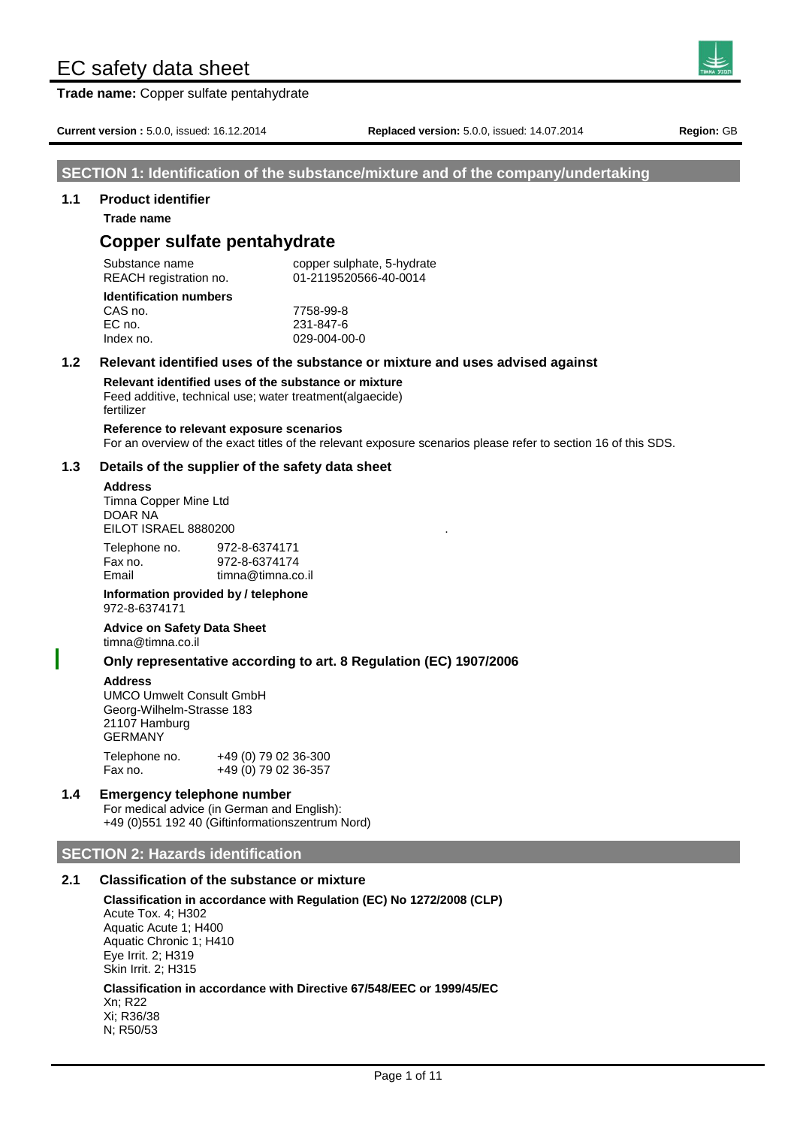**Trade name:** Copper sulfate pentahydrate



**Current version :** 5.0.0, issued: 16.12.2014 **Replaced version:** 5.0.0, issued: 14.07.2014 **Region:** GB

# **SECTION 1: Identification of the substance/mixture and of the company/undertaking**

#### **1.1 Product identifier**

**Trade name**

# **Copper sulfate pentahydrate**

Substance name copper sulphate, 5-hydrate REACH registration no. 01-2119520566-40-0014

| <b>Identification numbers</b> |  |
|-------------------------------|--|
| CAS no.                       |  |
| EC no.                        |  |
| Index no.                     |  |

# 029-004-00-0 **1.2 Relevant identified uses of the substance or mixture and uses advised against**

CAS no. 7758-99-8 EC no. 231-847-6

**Relevant identified uses of the substance or mixture** Feed additive, technical use; water treatment(algaecide) fertilizer

**Reference to relevant exposure scenarios** For an overview of the exact titles of the relevant exposure scenarios please refer to section 16 of this SDS.

#### **1.3 Details of the supplier of the safety data sheet**

#### **Address**

Timna Copper Mine Ltd DOAR NA **EILOT ISRAEL 8880200** 

Telephone no. 972-8-6374171 Fax no. 972-8-6374174 Email timna@timna.co.il

#### **Information provided by / telephone** 972-8-6374171

**Advice on Safety Data Sheet** timna@timna.co.il

#### **Only representative according to art. 8 Regulation (EC) 1907/2006**

#### **Address**

UMCO Umwelt Consult GmbH Georg-Wilhelm-Strasse 183 21107 Hamburg GERMANY Telephone no. +49 (0) 79 02 36-300

Fax no. +49 (0) 79 02 36-357

#### **1.4 Emergency telephone number**

For medical advice (in German and English): +49 (0)551 192 40 (Giftinformationszentrum Nord)

#### **SECTION 2: Hazards identification**

## **2.1 Classification of the substance or mixture**

**Classification in accordance with Regulation (EC) No 1272/2008 (CLP)** Acute Tox. 4; H302 Aquatic Acute 1; H400 Aquatic Chronic 1; H410 Eye Irrit. 2; H319 Skin Irrit. 2; H315 **Classification in accordance with Directive 67/548/EEC or 1999/45/EC** Xn; R22 Xi; R36/38

N; R50/53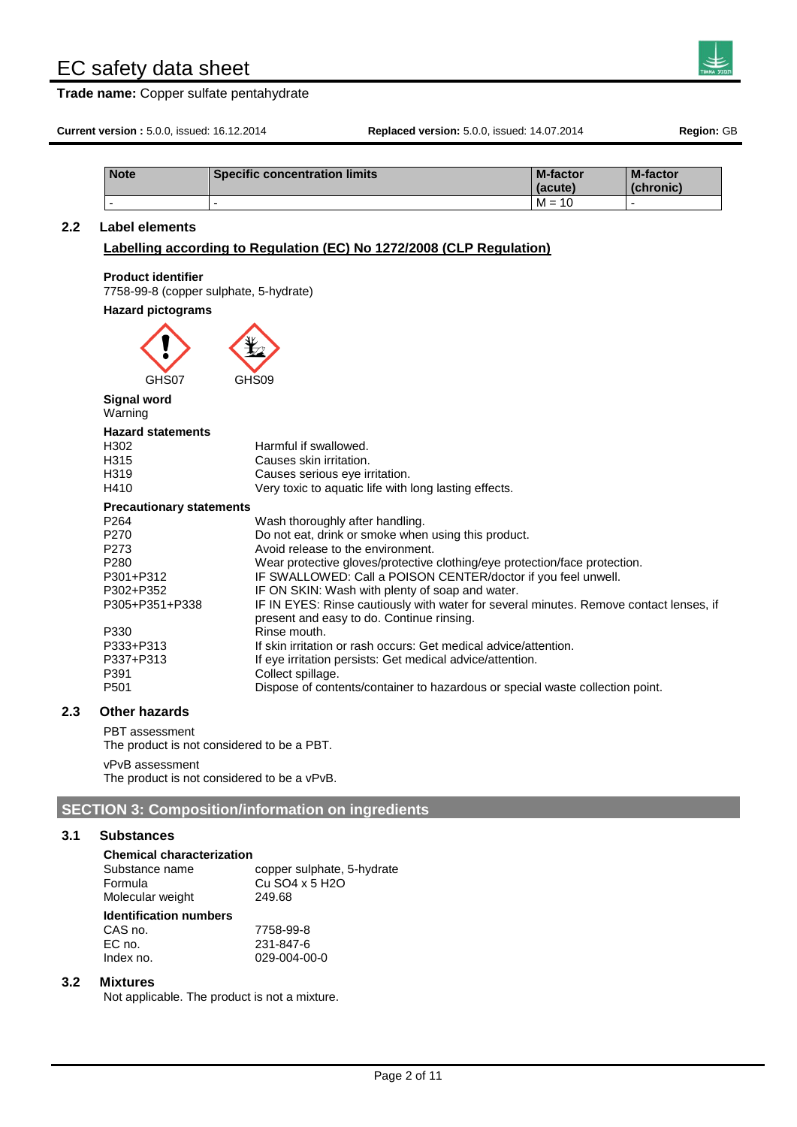**Trade name:** Copper sulfate pentahydrate



**Current version :** 5.0.0, issued: 16.12.2014 **Replaced version:** 5.0.0, issued: 14.07.2014 **Region:** GB

| <b>Note</b> | <b>Specific concentration limits</b> | <b>M-factor</b><br>(acute) | <b>M-factor</b><br>(chronic) |
|-------------|--------------------------------------|----------------------------|------------------------------|
|             |                                      | $M =$<br>10                |                              |

## **2.2 Label elements**

### **Labelling according to Regulation (EC) No 1272/2008 (CLP Regulation)**

#### **Product identifier**

7758-99-8 (copper sulphate, 5-hydrate)

#### **Hazard pictograms**

| GHS07 | GHS09 |
|-------|-------|

# **Signal word**

Warning

#### **Hazard statements**

| H302  | Harmful if swallowed. |
|-------|-----------------------|
| 1104F | Causas abia imitatian |

- H315 Causes skin irritation.<br>
H319 Causes serious eve ir Causes serious eye irritation.
- H410 Very toxic to aquatic life with long lasting effects.

#### **Precautionary statements**

| P264           | Wash thoroughly after handling.                                                        |
|----------------|----------------------------------------------------------------------------------------|
| P270           | Do not eat, drink or smoke when using this product.                                    |
| P273           | Avoid release to the environment.                                                      |
| P280           | Wear protective gloves/protective clothing/eye protection/face protection.             |
| P301+P312      | IF SWALLOWED: Call a POISON CENTER/doctor if you feel unwell.                          |
| P302+P352      | IF ON SKIN: Wash with plenty of soap and water.                                        |
| P305+P351+P338 | IF IN EYES: Rinse cautiously with water for several minutes. Remove contact lenses, if |
|                | present and easy to do. Continue rinsing.                                              |
| P330           | Rinse mouth.                                                                           |
| P333+P313      | If skin irritation or rash occurs: Get medical advice/attention.                       |
| P337+P313      | If eye irritation persists: Get medical advice/attention.                              |
| P391           | Collect spillage.                                                                      |
| P501           | Dispose of contents/container to hazardous or special waste collection point.          |
|                |                                                                                        |

# **2.3 Other hazards**

PBT assessment The product is not considered to be a PBT.

vPvB assessment

The product is not considered to be a vPvB.

# **SECTION 3: Composition/information on ingredients**

#### **3.1 Substances**

| <b>Chemical characterization</b> |          |
|----------------------------------|----------|
| Substance name                   | copper s |

| Substance name<br>Formula<br>Molecular weight | copper sulphate, 5-hydrate<br>Cu SO4 x 5 H2O<br>249.68 |
|-----------------------------------------------|--------------------------------------------------------|
| <b>Identification numbers</b>                 |                                                        |
| CAS no.                                       | 7758-99-8                                              |
| EC no.                                        | 231-847-6                                              |
| Index no.                                     | 029-004-00-0                                           |

#### **3.2 Mixtures**

Not applicable. The product is not a mixture.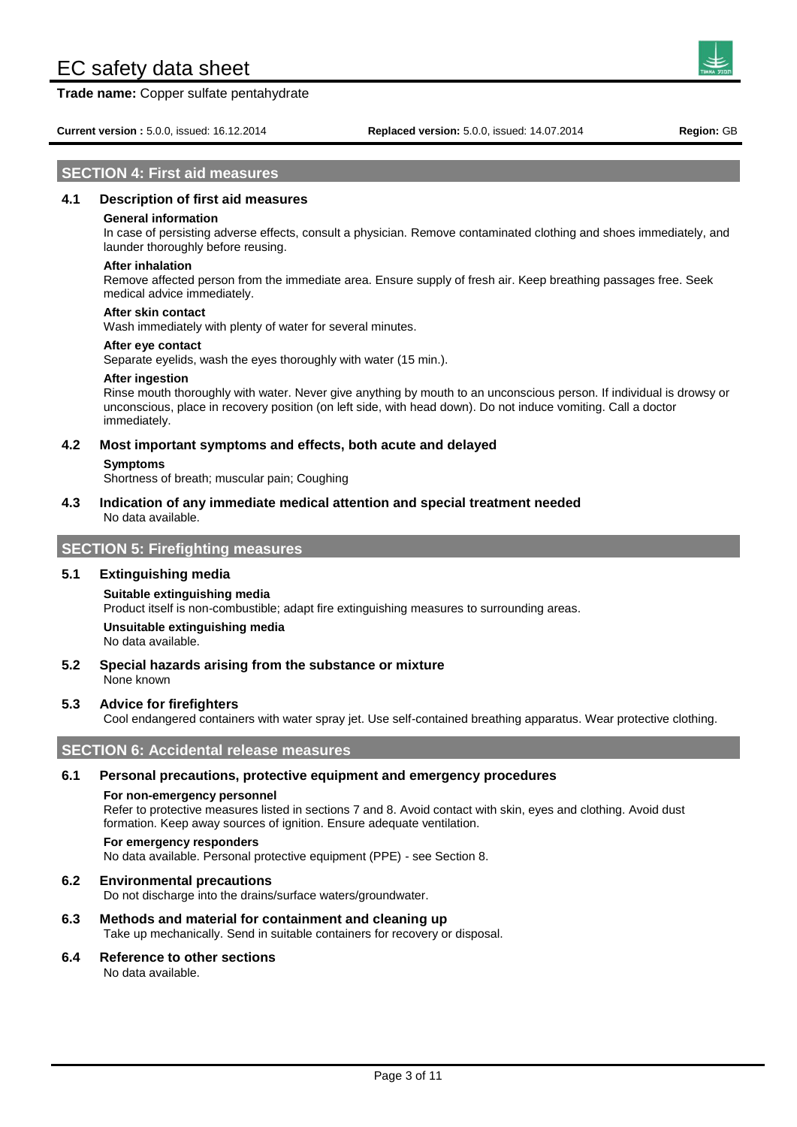**Trade name:** Copper sulfate pentahydrate



Page 3 of 11

## **SECTION 4: First aid measures**

#### **4.1 Description of first aid measures**

#### **General information**

In case of persisting adverse effects, consult a physician. Remove contaminated clothing and shoes immediately, and launder thoroughly before reusing.

#### **After inhalation**

Remove affected person from the immediate area. Ensure supply of fresh air. Keep breathing passages free. Seek medical advice immediately.

#### **After skin contact**

Wash immediately with plenty of water for several minutes.

#### **After eye contact**

Separate eyelids, wash the eyes thoroughly with water (15 min.).

#### **After ingestion**

Rinse mouth thoroughly with water. Never give anything by mouth to an unconscious person. If individual is drowsy or unconscious, place in recovery position (on left side, with head down). Do not induce vomiting. Call a doctor immediately.

# **4.2 Most important symptoms and effects, both acute and delayed**

#### **Symptoms**

Shortness of breath; muscular pain; Coughing

**4.3 Indication of any immediate medical attention and special treatment needed** No data available.

# **SECTION 5: Firefighting measures**

#### **5.1 Extinguishing media**

#### **Suitable extinguishing media**

Product itself is non-combustible; adapt fire extinguishing measures to surrounding areas.

**Unsuitable extinguishing media**

No data available.

**5.2 Special hazards arising from the substance or mixture** None known

#### **5.3 Advice for firefighters**

Cool endangered containers with water spray jet. Use self-contained breathing apparatus. Wear protective clothing.

## **SECTION 6: Accidental release measures**

#### **6.1 Personal precautions, protective equipment and emergency procedures**

#### **For non-emergency personnel**

Refer to protective measures listed in sections 7 and 8. Avoid contact with skin, eyes and clothing. Avoid dust formation. Keep away sources of ignition. Ensure adequate ventilation.

# **For emergency responders**

No data available. Personal protective equipment (PPE) - see Section 8.

#### **6.2 Environmental precautions**

Do not discharge into the drains/surface waters/groundwater.

## **6.3 Methods and material for containment and cleaning up**

Take up mechanically. Send in suitable containers for recovery or disposal.

#### **6.4 Reference to other sections**

No data available.

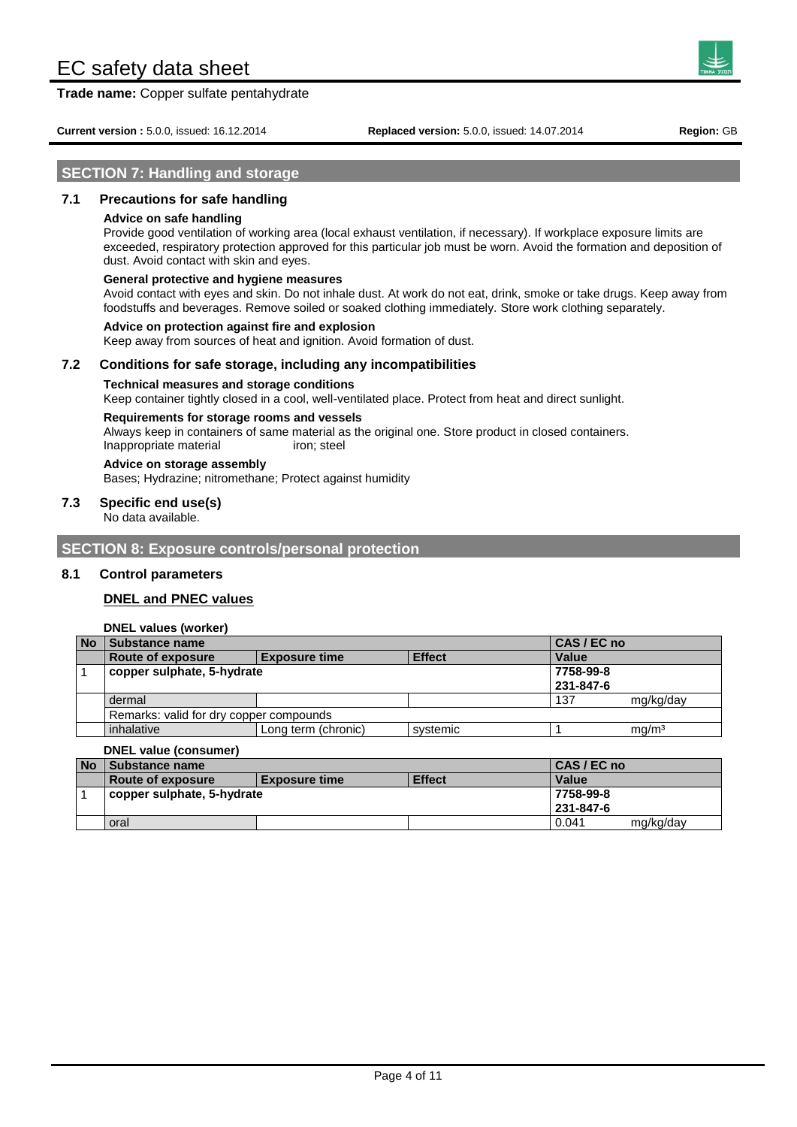**Trade name:** Copper sulfate pentahydrate



**Current version :** 5.0.0, issued: 16.12.2014 **Replaced version:** 5.0.0, issued: 14.07.2014 **Region:** GB

### **SECTION 7: Handling and storage**

### **7.1 Precautions for safe handling**

#### **Advice on safe handling**

Provide good ventilation of working area (local exhaust ventilation, if necessary). If workplace exposure limits are exceeded, respiratory protection approved for this particular job must be worn. Avoid the formation and deposition of dust. Avoid contact with skin and eyes.

#### **General protective and hygiene measures**

Avoid contact with eyes and skin. Do not inhale dust. At work do not eat, drink, smoke or take drugs. Keep away from foodstuffs and beverages. Remove soiled or soaked clothing immediately. Store work clothing separately.

#### **Advice on protection against fire and explosion**

Keep away from sources of heat and ignition. Avoid formation of dust.

### **7.2 Conditions for safe storage, including any incompatibilities**

#### **Technical measures and storage conditions**

Keep container tightly closed in a cool, well-ventilated place. Protect from heat and direct sunlight.

#### **Requirements for storage rooms and vessels**

Always keep in containers of same material as the original one. Store product in closed containers. Inappropriate material iron; steel

**Advice on storage assembly** Bases; Hydrazine; nitromethane; Protect against humidity

#### **7.3 Specific end use(s)**

No data available.

**SECTION 8: Exposure controls/personal protection**

#### **8.1 Control parameters**

#### **DNEL and PNEC values**

**DNEL values (worker)**

| <b>No</b> | Substance name                          |                      |               | CAS / EC no |                   |
|-----------|-----------------------------------------|----------------------|---------------|-------------|-------------------|
|           | <b>Route of exposure</b>                | <b>Exposure time</b> | <b>Effect</b> | Value       |                   |
|           | copper sulphate, 5-hydrate              |                      |               | 7758-99-8   |                   |
|           |                                         |                      |               | 231-847-6   |                   |
|           | dermal                                  |                      |               | 137         | mg/kg/day         |
|           | Remarks: valid for dry copper compounds |                      |               |             |                   |
|           | inhalative                              | Long term (chronic)  | systemic      |             | ma/m <sup>3</sup> |

#### **DNEL value (consumer)**

| <b>No</b>                  | <b>A Substance name</b> |                      |               | CAS / EC no |           |
|----------------------------|-------------------------|----------------------|---------------|-------------|-----------|
|                            | Route of exposure       | <b>Exposure time</b> | <b>Effect</b> | Value       |           |
| copper sulphate, 5-hydrate |                         |                      | 7758-99-8     |             |           |
|                            |                         |                      |               | 231-847-6   |           |
|                            | oral                    |                      |               | 0.041       | mg/kg/day |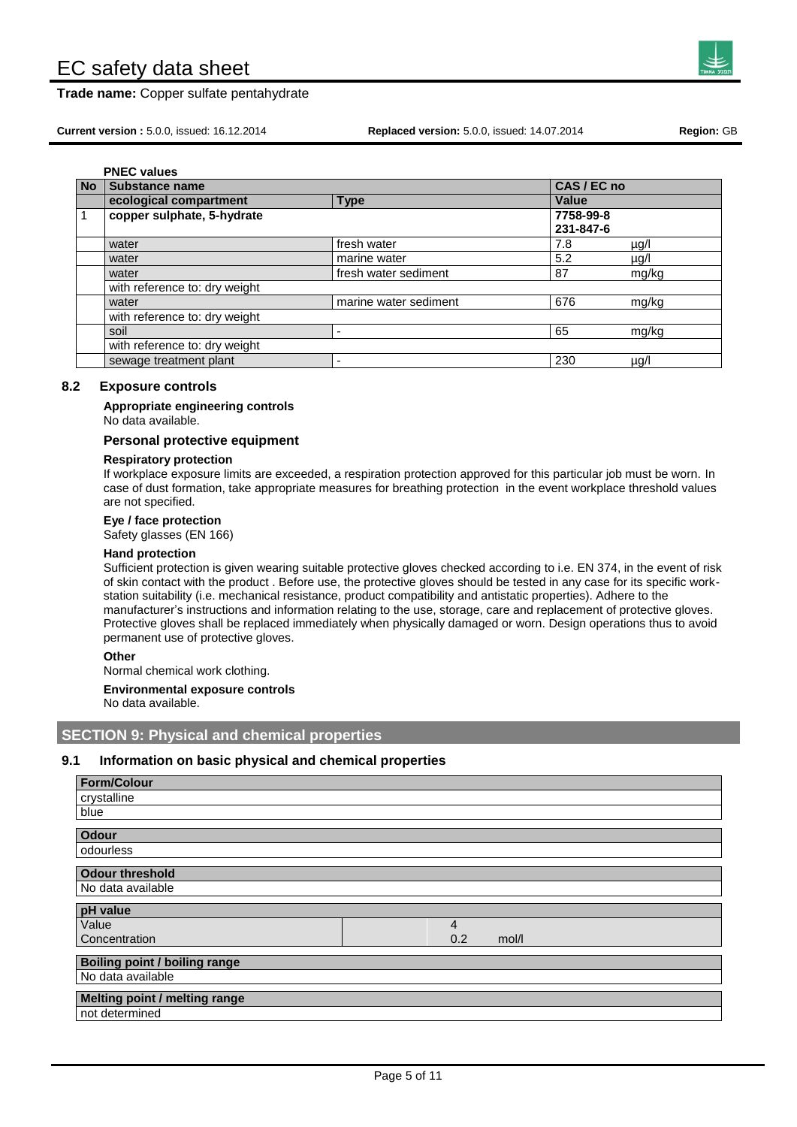**Trade name:** Copper sulfate pentahydrate



**Current version :** 5.0.0, issued: 16.12.2014 **Replaced version:** 5.0.0, issued: 14.07.2014 **Region:** GB

| <b>No</b> | Substance name                |                       | CAS / EC no            |           |
|-----------|-------------------------------|-----------------------|------------------------|-----------|
|           | ecological compartment        | <b>Type</b>           | Value                  |           |
|           | copper sulphate, 5-hydrate    |                       | 7758-99-8<br>231-847-6 |           |
|           | water                         | fresh water           | 7.8                    | $\mu$ g/l |
|           | water                         | marine water          | 5.2                    | µg/l      |
|           | water                         | fresh water sediment  | 87                     | mg/kg     |
|           | with reference to: dry weight |                       |                        |           |
|           | water                         | marine water sediment | 676                    | mg/kg     |
|           | with reference to: dry weight |                       |                        |           |
|           | soil                          |                       | 65                     | mg/kg     |
|           | with reference to: dry weight |                       |                        |           |
|           | sewage treatment plant        |                       | 230                    | µg/l      |

#### **8.2 Exposure controls**

**Appropriate engineering controls** No data available.

#### **Personal protective equipment**

#### **Respiratory protection**

If workplace exposure limits are exceeded, a respiration protection approved for this particular job must be worn. In case of dust formation, take appropriate measures for breathing protection in the event workplace threshold values are not specified.

**Eye / face protection**

Safety glasses (EN 166)

#### **Hand protection**

Sufficient protection is given wearing suitable protective gloves checked according to i.e. EN 374, in the event of risk of skin contact with the product . Before use, the protective gloves should be tested in any case for its specific workstation suitability (i.e. mechanical resistance, product compatibility and antistatic properties). Adhere to the manufacturer's instructions and information relating to the use, storage, care and replacement of protective gloves. Protective gloves shall be replaced immediately when physically damaged or worn. Design operations thus to avoid permanent use of protective gloves.

**Other**

Normal chemical work clothing.

**Environmental exposure controls**

No data available.

# **SECTION 9: Physical and chemical properties**

#### **9.1 Information on basic physical and chemical properties**

| <b>Form/Colour</b>                   |              |
|--------------------------------------|--------------|
| crystalline                          |              |
| blue                                 |              |
| <b>Odour</b>                         |              |
| odourless                            |              |
| <b>Odour threshold</b>               |              |
| No data available                    |              |
| pH value                             |              |
| Value                                | 4            |
| Concentration                        | 0.2<br>mol/l |
| <b>Boiling point / boiling range</b> |              |
| No data available                    |              |
| Melting point / melting range        |              |
| not determined                       |              |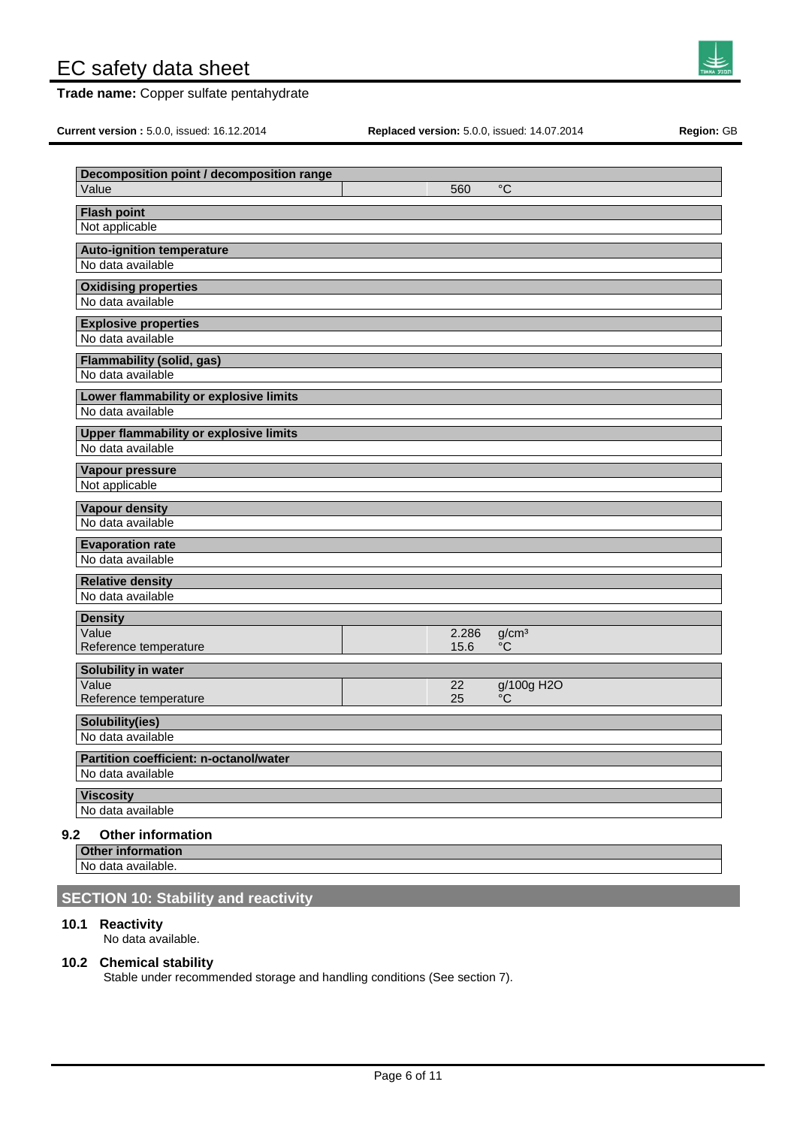**Trade name:** Copper sulfate pentahydrate

**Current version :** 5.0.0, issued: 16.12.2014 **Replaced version:** 5.0.0, issued: 14.07.2014 **Region:** GB

 $\mathsf{I}$ 

| Decomposition point / decomposition range                          |       |                   |
|--------------------------------------------------------------------|-------|-------------------|
| Value                                                              | 560   | $^{\circ}C$       |
| <b>Flash point</b>                                                 |       |                   |
| Not applicable                                                     |       |                   |
| <b>Auto-ignition temperature</b>                                   |       |                   |
| No data available                                                  |       |                   |
| <b>Oxidising properties</b>                                        |       |                   |
| No data available                                                  |       |                   |
| <b>Explosive properties</b>                                        |       |                   |
| No data available                                                  |       |                   |
| Flammability (solid, gas)                                          |       |                   |
| No data available                                                  |       |                   |
| Lower flammability or explosive limits                             |       |                   |
| No data available                                                  |       |                   |
| <b>Upper flammability or explosive limits</b><br>No data available |       |                   |
|                                                                    |       |                   |
| Vapour pressure                                                    |       |                   |
| Not applicable                                                     |       |                   |
| <b>Vapour density</b>                                              |       |                   |
| No data available                                                  |       |                   |
| <b>Evaporation rate</b><br>No data available                       |       |                   |
|                                                                    |       |                   |
| <b>Relative density</b><br>No data available                       |       |                   |
|                                                                    |       |                   |
| <b>Density</b><br>Value                                            | 2.286 | g/cm <sup>3</sup> |
| Reference temperature                                              | 15.6  | $\rm ^{\circ}C$   |
| Solubility in water                                                |       |                   |
| Value                                                              | 22    | g/100g H2O        |
| Reference temperature                                              | 25    | °C                |
| Solubility(ies)                                                    |       |                   |
| No data available                                                  |       |                   |
| Partition coefficient: n-octanol/water                             |       |                   |
| No data available                                                  |       |                   |
| <b>Viscosity</b>                                                   |       |                   |
| No data available                                                  |       |                   |

# **9.2 Other information**

**Other information**

No data available.

# **SECTION 10: Stability and reactivity**

### **10.1 Reactivity**

 $\mathsf{I}$ 

No data available.

# **10.2 Chemical stability**

Stable under recommended storage and handling conditions (See section 7).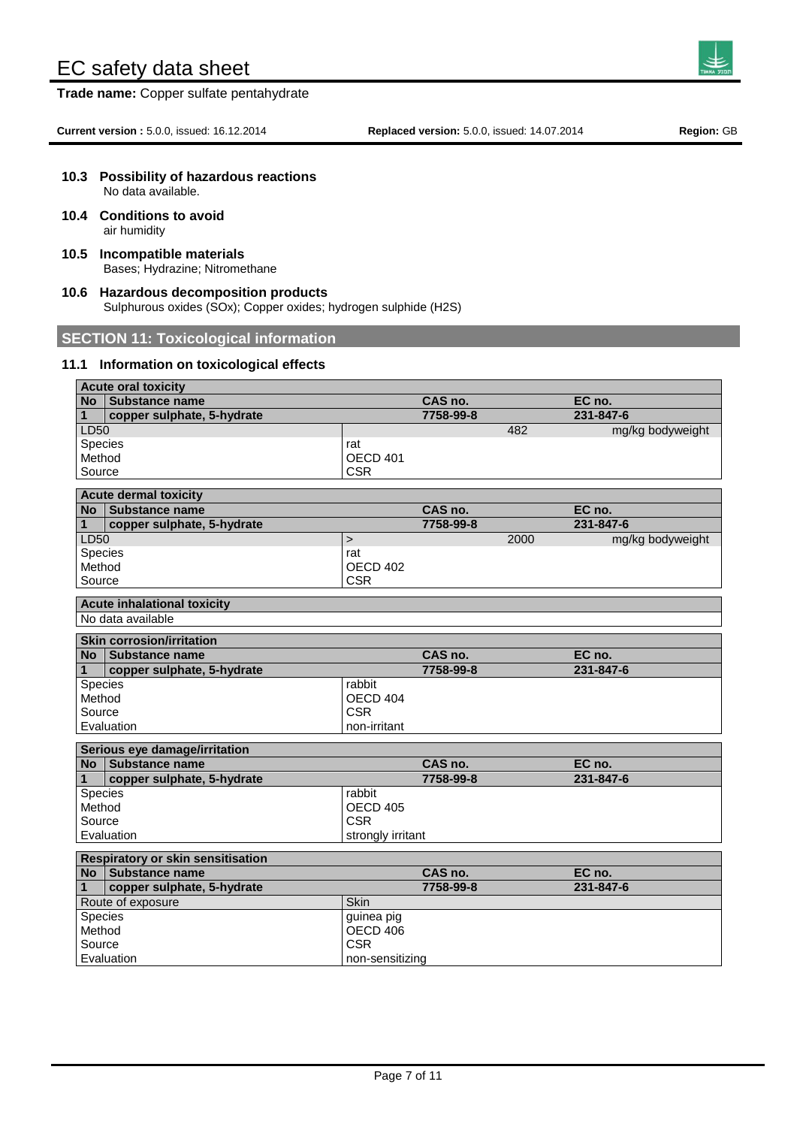**Trade name:** Copper sulfate pentahydrate

# **10.3 Possibility of hazardous reactions**

No data available.

- **10.4 Conditions to avoid** air humidity
- **10.5 Incompatible materials** Bases; Hydrazine; Nitromethane
- **10.6 Hazardous decomposition products** Sulphurous oxides (SOx); Copper oxides; hydrogen sulphide (H2S)

# **SECTION 11: Toxicological information**

#### **11.1 Information on toxicological effects**

| <b>Acute oral toxicity</b> |                                          |                   |           |      |                  |
|----------------------------|------------------------------------------|-------------------|-----------|------|------------------|
|                            | No   Substance name                      |                   | CAS no.   |      | EC no.           |
| $\mathbf{1}$               | copper sulphate, 5-hydrate               |                   | 7758-99-8 |      | 231-847-6        |
| <b>LD50</b>                |                                          |                   |           | 482  | mg/kg bodyweight |
| Species                    |                                          | rat               |           |      |                  |
| Method                     |                                          | OECD 401          |           |      |                  |
| Source                     |                                          | <b>CSR</b>        |           |      |                  |
|                            | <b>Acute dermal toxicity</b>             |                   |           |      |                  |
|                            | No Substance name                        |                   | CAS no.   |      | EC no.           |
| 1                          | copper sulphate, 5-hydrate               |                   | 7758-99-8 |      | 231-847-6        |
| LD50                       |                                          | $\geq$            |           | 2000 | mg/kg bodyweight |
| Species                    |                                          | rat               |           |      |                  |
| Method                     |                                          | OECD 402          |           |      |                  |
| Source                     |                                          | <b>CSR</b>        |           |      |                  |
|                            | <b>Acute inhalational toxicity</b>       |                   |           |      |                  |
|                            | No data available                        |                   |           |      |                  |
|                            |                                          |                   |           |      |                  |
|                            | <b>Skin corrosion/irritation</b>         |                   |           |      |                  |
|                            | No Substance name                        |                   | CAS no.   |      | EC no.           |
| 1                          | copper sulphate, 5-hydrate               |                   | 7758-99-8 |      | 231-847-6        |
| Species                    |                                          | rabbit            |           |      |                  |
| Method                     |                                          | OECD 404          |           |      |                  |
| Source                     |                                          | <b>CSR</b>        |           |      |                  |
|                            | Evaluation                               | non-irritant      |           |      |                  |
|                            | Serious eye damage/irritation            |                   |           |      |                  |
|                            | No Substance name                        |                   | CAS no.   |      | EC no.           |
| 1                          | copper sulphate, 5-hydrate               |                   | 7758-99-8 |      | 231-847-6        |
| Species                    |                                          | rabbit            |           |      |                  |
| Method                     |                                          | <b>OECD 405</b>   |           |      |                  |
| Source                     |                                          | <b>CSR</b>        |           |      |                  |
|                            | Evaluation                               | strongly irritant |           |      |                  |
|                            |                                          |                   |           |      |                  |
|                            | <b>Respiratory or skin sensitisation</b> |                   |           |      |                  |
| No l                       | <b>Substance name</b>                    |                   | CAS no.   |      | EC no.           |
| 1                          | copper sulphate, 5-hydrate               |                   | 7758-99-8 |      | 231-847-6        |
|                            | Route of exposure                        | Skin              |           |      |                  |
| Species                    |                                          | guinea pig        |           |      |                  |
| Method                     |                                          | OECD 406          |           |      |                  |
| <b>CSR</b><br>Source       |                                          |                   |           |      |                  |
|                            | Evaluation                               | non-sensitizing   |           |      |                  |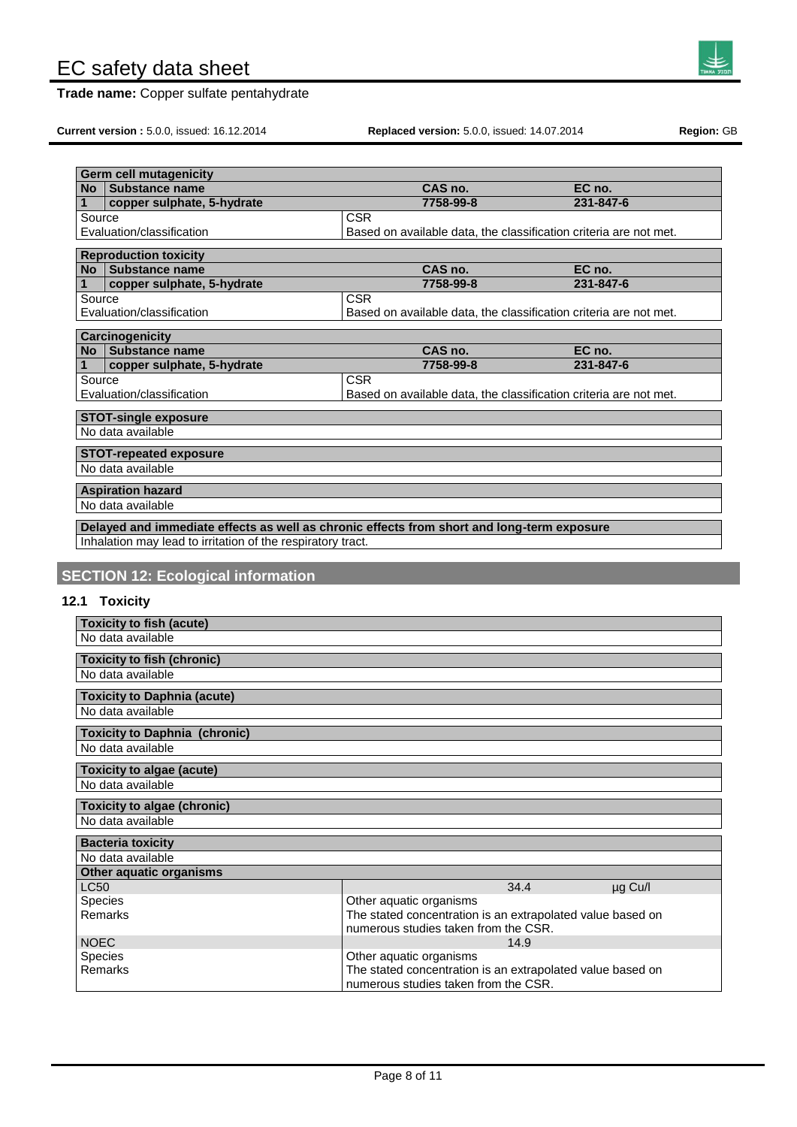**Trade name:** Copper sulfate pentahydrate



**Current version :** 5.0.0, issued: 16.12.2014 **Replaced version:** 5.0.0, issued: 14.07.2014 **Region:** GB

| No                         | <b>Germ cell mutagenicity</b><br>Substance name                                            | CAS no.                                                                               | EC no.    |
|----------------------------|--------------------------------------------------------------------------------------------|---------------------------------------------------------------------------------------|-----------|
| 1                          | copper sulphate, 5-hydrate                                                                 | 7758-99-8                                                                             | 231-847-6 |
| Source                     |                                                                                            | <b>CSR</b>                                                                            |           |
|                            | Evaluation/classification                                                                  | Based on available data, the classification criteria are not met.                     |           |
|                            |                                                                                            |                                                                                       |           |
|                            | <b>Reproduction toxicity</b>                                                               |                                                                                       |           |
|                            | No Substance name                                                                          | CAS no.                                                                               | EC no.    |
| 1                          | copper sulphate, 5-hydrate                                                                 | 7758-99-8                                                                             | 231-847-6 |
| Source                     | Evaluation/classification                                                                  | <b>CSR</b>                                                                            |           |
|                            |                                                                                            | Based on available data, the classification criteria are not met.                     |           |
|                            | <b>Carcinogenicity</b>                                                                     |                                                                                       |           |
|                            | No Substance name                                                                          | CAS no.                                                                               | EC no.    |
| 1                          | copper sulphate, 5-hydrate                                                                 | 7758-99-8                                                                             | 231-847-6 |
| Source                     |                                                                                            | <b>CSR</b>                                                                            |           |
|                            | Evaluation/classification                                                                  | Based on available data, the classification criteria are not met.                     |           |
|                            | <b>STOT-single exposure</b>                                                                |                                                                                       |           |
|                            | No data available                                                                          |                                                                                       |           |
|                            |                                                                                            |                                                                                       |           |
|                            | <b>STOT-repeated exposure</b>                                                              |                                                                                       |           |
|                            | No data available                                                                          |                                                                                       |           |
|                            | <b>Aspiration hazard</b>                                                                   |                                                                                       |           |
|                            | No data available                                                                          |                                                                                       |           |
|                            |                                                                                            |                                                                                       |           |
|                            |                                                                                            |                                                                                       |           |
|                            | Delayed and immediate effects as well as chronic effects from short and long-term exposure |                                                                                       |           |
|                            | Inhalation may lead to irritation of the respiratory tract.                                |                                                                                       |           |
|                            |                                                                                            |                                                                                       |           |
|                            | <b>SECTION 12: Ecological information</b>                                                  |                                                                                       |           |
|                            |                                                                                            |                                                                                       |           |
|                            | 12.1 Toxicity                                                                              |                                                                                       |           |
|                            | <b>Toxicity to fish (acute)</b>                                                            |                                                                                       |           |
|                            | No data available                                                                          |                                                                                       |           |
|                            |                                                                                            |                                                                                       |           |
|                            | <b>Toxicity to fish (chronic)</b>                                                          |                                                                                       |           |
|                            | No data available                                                                          |                                                                                       |           |
|                            | <b>Toxicity to Daphnia (acute)</b>                                                         |                                                                                       |           |
|                            | No data available                                                                          |                                                                                       |           |
|                            |                                                                                            |                                                                                       |           |
|                            | <b>Toxicity to Daphnia (chronic)</b><br>No data available                                  |                                                                                       |           |
|                            |                                                                                            |                                                                                       |           |
|                            | <b>Toxicity to algae (acute)</b>                                                           |                                                                                       |           |
|                            | No data available                                                                          |                                                                                       |           |
|                            |                                                                                            |                                                                                       |           |
|                            | <b>Toxicity to algae (chronic)</b><br>No data available                                    |                                                                                       |           |
|                            |                                                                                            |                                                                                       |           |
|                            | <b>Bacteria toxicity</b>                                                                   |                                                                                       |           |
|                            | No data available                                                                          |                                                                                       |           |
|                            | Other aquatic organisms                                                                    |                                                                                       |           |
|                            |                                                                                            | 34.4                                                                                  | µg Cu/l   |
|                            | Species                                                                                    | Other aquatic organisms                                                               |           |
|                            | Remarks                                                                                    | The stated concentration is an extrapolated value based on                            |           |
|                            |                                                                                            | numerous studies taken from the CSR.                                                  |           |
| <b>LC50</b><br><b>NOEC</b> |                                                                                            | 14.9                                                                                  |           |
|                            | Species<br>Remarks                                                                         | Other aquatic organisms<br>The stated concentration is an extrapolated value based on |           |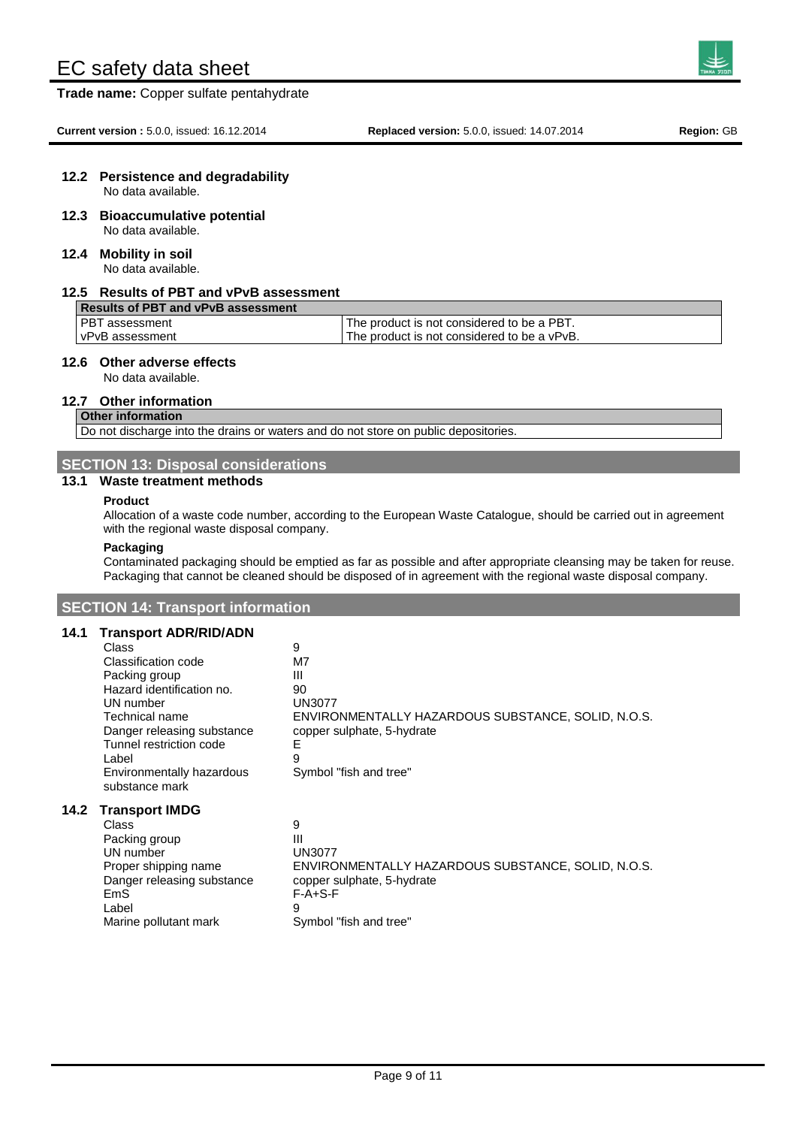**Trade name:** Copper sulfate pentahydrate

# **12.2 Persistence and degradability**

No data available.

**12.3 Bioaccumulative potential** No data available.

#### **12.4 Mobility in soil** No data available.

#### **12.5 Results of PBT and vPvB assessment**

| Results of PBT and vPvB assessment |                                             |
|------------------------------------|---------------------------------------------|
| <b>IPBT</b> assessment             | The product is not considered to be a PBT.  |
| I vPvB assessment                  | The product is not considered to be a vPvB. |

## **12.6 Other adverse effects**

No data available.

#### **12.7 Other information**

# **Other information**

Do not discharge into the drains or waters and do not store on public depositories

#### **SECTION 13: Disposal considerations**

#### **13.1 Waste treatment methods**

#### **Product**

Allocation of a waste code number, according to the European Waste Catalogue, should be carried out in agreement with the regional waste disposal company.

#### **Packaging**

**14.2 Transport IMDG**

Contaminated packaging should be emptied as far as possible and after appropriate cleansing may be taken for reuse. Packaging that cannot be cleaned should be disposed of in agreement with the regional waste disposal company.

### **SECTION 14: Transport information**

#### **14.1 Transport ADR/RID/ADN**

| Class<br>Classification code<br>Packing group<br>Hazard identification no.<br>UN number                                         | 9<br>M7<br>Ш<br>90<br>UN3077                                                                                         |
|---------------------------------------------------------------------------------------------------------------------------------|----------------------------------------------------------------------------------------------------------------------|
| Technical name<br>Danger releasing substance<br>Tunnel restriction code<br>Label<br>Environmentally hazardous<br>substance mark | ENVIRONMENTALLY HAZARDOUS SUBSTANCE, SOLID, N.O.S.<br>copper sulphate, 5-hydrate<br>Е<br>9<br>Symbol "fish and tree" |
| <b>Transport IMDG</b>                                                                                                           |                                                                                                                      |
| Class                                                                                                                           | 9                                                                                                                    |
| Packing group                                                                                                                   | Ш                                                                                                                    |
| UN number                                                                                                                       | UN3077                                                                                                               |
| Proper shipping name                                                                                                            | ENVIRONMENTALLY HAZARDOUS SUBSTANCE, SOLID, N.O.S.                                                                   |
| Danger releasing substance                                                                                                      | copper sulphate, 5-hydrate                                                                                           |
| EmS                                                                                                                             | $F-A+S-F$                                                                                                            |

Label 9

Marine pollutant mark Symbol "fish and tree"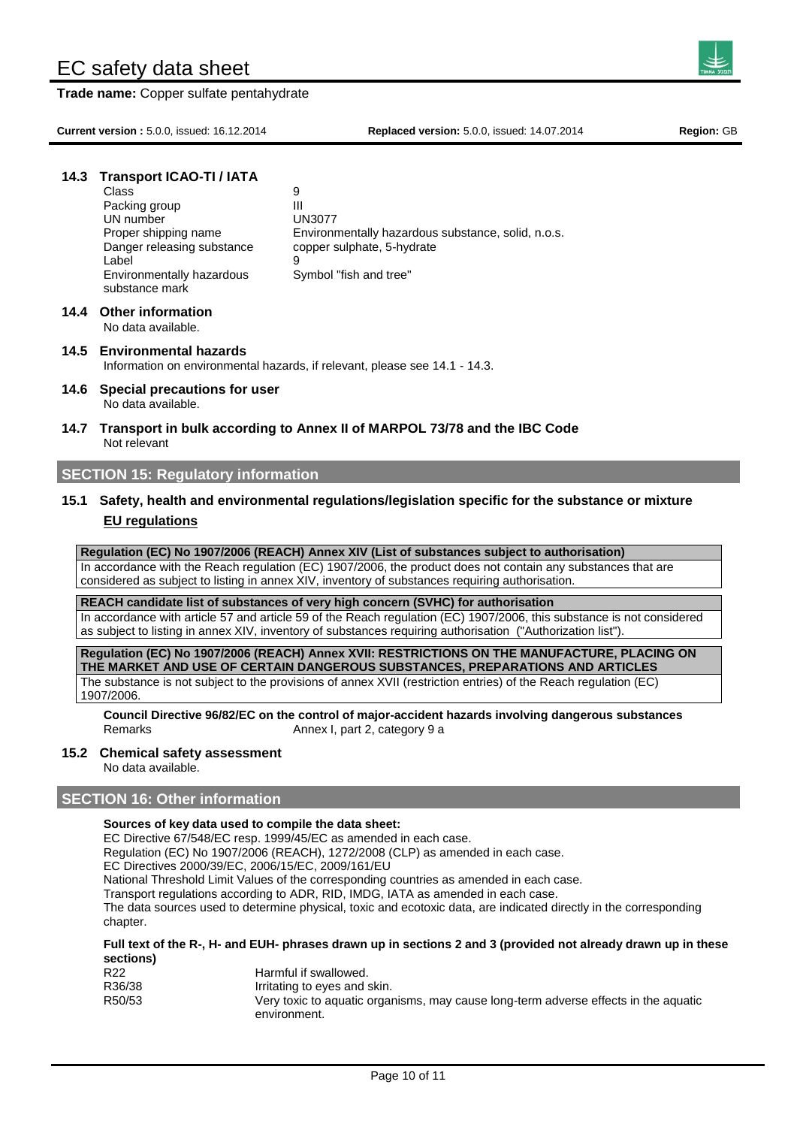**Trade name:** Copper sulfate pentahydrate

**Current version :** 5.0.0, issued: 16.12.2014 **Replaced version:** 5.0.0, issued: 14.07.2014 **Region:** GB

## **14.3 Transport ICAO-TI / IATA**

| Class                      | 9                                                  |
|----------------------------|----------------------------------------------------|
| Packing group              | Ш                                                  |
| UN number                  | <b>UN3077</b>                                      |
| Proper shipping name       | Environmentally hazardous substance, solid, n.o.s. |
| Danger releasing substance | copper sulphate, 5-hydrate                         |
| Label                      | 9                                                  |
| Environmentally hazardous  | Symbol "fish and tree"                             |
| substance mark             |                                                    |
|                            |                                                    |

# **14.4 Other information**

No data available.

#### **14.5 Environmental hazards** Information on environmental hazards, if relevant, please see 14.1 - 14.3.

- **14.6 Special precautions for user** No data available.
- **14.7 Transport in bulk according to Annex II of MARPOL 73/78 and the IBC Code** Not relevant

### **SECTION 15: Regulatory information**

# **15.1 Safety, health and environmental regulations/legislation specific for the substance or mixture EU regulations**

**Regulation (EC) No 1907/2006 (REACH) Annex XIV (List of substances subject to authorisation)**  In accordance with the Reach regulation (EC) 1907/2006, the product does not contain any substances that are considered as subject to listing in annex XIV, inventory of substances requiring authorisation.

**REACH candidate list of substances of very high concern (SVHC) for authorisation**

In accordance with article 57 and article 59 of the Reach regulation (EC) 1907/2006, this substance is not considered as subject to listing in annex XIV, inventory of substances requiring authorisation ("Authorization list").

**Regulation (EC) No 1907/2006 (REACH) Annex XVII: RESTRICTIONS ON THE MANUFACTURE, PLACING ON THE MARKET AND USE OF CERTAIN DANGEROUS SUBSTANCES, PREPARATIONS AND ARTICLES** The substance is not subject to the provisions of annex XVII (restriction entries) of the Reach regulation (EC) 1907/2006.

**Council Directive 96/82/EC on the control of major-accident hazards involving dangerous substances** Remarks **Annex I**, part 2, category 9 a

#### **15.2 Chemical safety assessment**

No data available.

# **SECTION 16: Other information**

#### **Sources of key data used to compile the data sheet:**

EC Directive 67/548/EC resp. 1999/45/EC as amended in each case.

Regulation (EC) No 1907/2006 (REACH), 1272/2008 (CLP) as amended in each case.

EC Directives 2000/39/EC, 2006/15/EC, 2009/161/EU

National Threshold Limit Values of the corresponding countries as amended in each case.

Transport regulations according to ADR, RID, IMDG, IATA as amended in each case.

The data sources used to determine physical, toxic and ecotoxic data, are indicated directly in the corresponding chapter.

#### **Full text of the R-, H- and EUH- phrases drawn up in sections 2 and 3 (provided not already drawn up in these sections)**

| R22    | Harmful if swallowed.                                                               |
|--------|-------------------------------------------------------------------------------------|
| R36/38 | Irritating to eyes and skin.                                                        |
| R50/53 | Very toxic to aquatic organisms, may cause long-term adverse effects in the aquatic |
|        | environment.                                                                        |